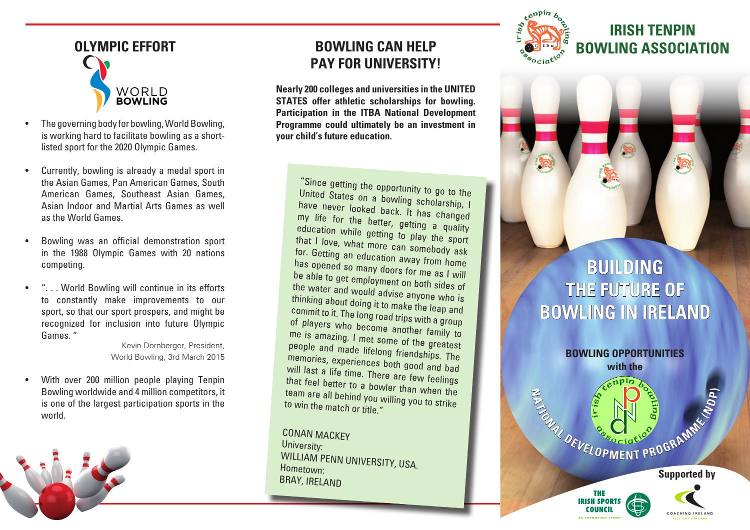

- The governing body for bowling, World Bowling, is working hard to facilitate bowling as a shortlisted sport for the 2020 Olympic Games.
- • Currently, bowling is already a medal sport in the Asian Games, Pan American Games, South American Games, Southeast Asian Games, Asian Indoor and Martial Arts Games as well as the World Games.
- • Bowling was an official demonstration sport in the 1988 Olympic Games with 20 nations competing.
- .. World Bowling will continue in its efforts to constantly make improvements to our sport, so that our sport prospers, and might be recognized for inclusion into future Olympic Games. "

Kevin Dornberger, President, World Bowling, 3rd March 2015

• With over 200 million people playing Tenpin Bowling worldwide and 4 million competitors, it is one of the largest participation sports in the world.



**Nearly 200 colleges and universities in the UNITED STATES offer athletic scholarships for bowling. Participation in the ITBA National Development Programme could ultimately be an investment in your child's future education.**

"Since getting the opportunity to go to the United States on <sup>a</sup> bowling scholarship, I have never looked back. It has changed my my life for the better, getting a quality<br>education while getting to the quality equestion while getting to play the sport <sup>I</sup> love, what more can somebody ask for. Getting an education away from home<br>has opened so many d nas opened so many doors for me as I will<br>be able to get employment to get employment on both sides of the water and would advise anyone who is thinking thinking about doing it to make the leap and<br>commit to it. The long read with the leap and of players who become another family to<br>me is amazing I met commit to it. The long road trips with a group me is amazing. <sup>I</sup> met some of the greatest people and made lifelong friendships. The memories, experiences both good and bad will last will last a life time. There are few feelings<br>that feel better to a have are few feelings that feel better to a bowler than when the team are all behind you willing you to strike<br>to win the match or title " the match or title."

CONAN MACKEY University: WILLIAM PENN UNIVERSITY, USA. Hometown: BRAY, IRELAND



## **IRISH TENPIN OLYMPIC EFFORT BOWLING ASSOCIATION**

S

# **BUILDING THE FUTURE OF BOWLING IN IRELAND**

**BOWLING OPPORTUNITIES with the Supported by AND REVELOPMENT PROGRAMMENT** 

> **THE IRISH SPORT COUNCIL**